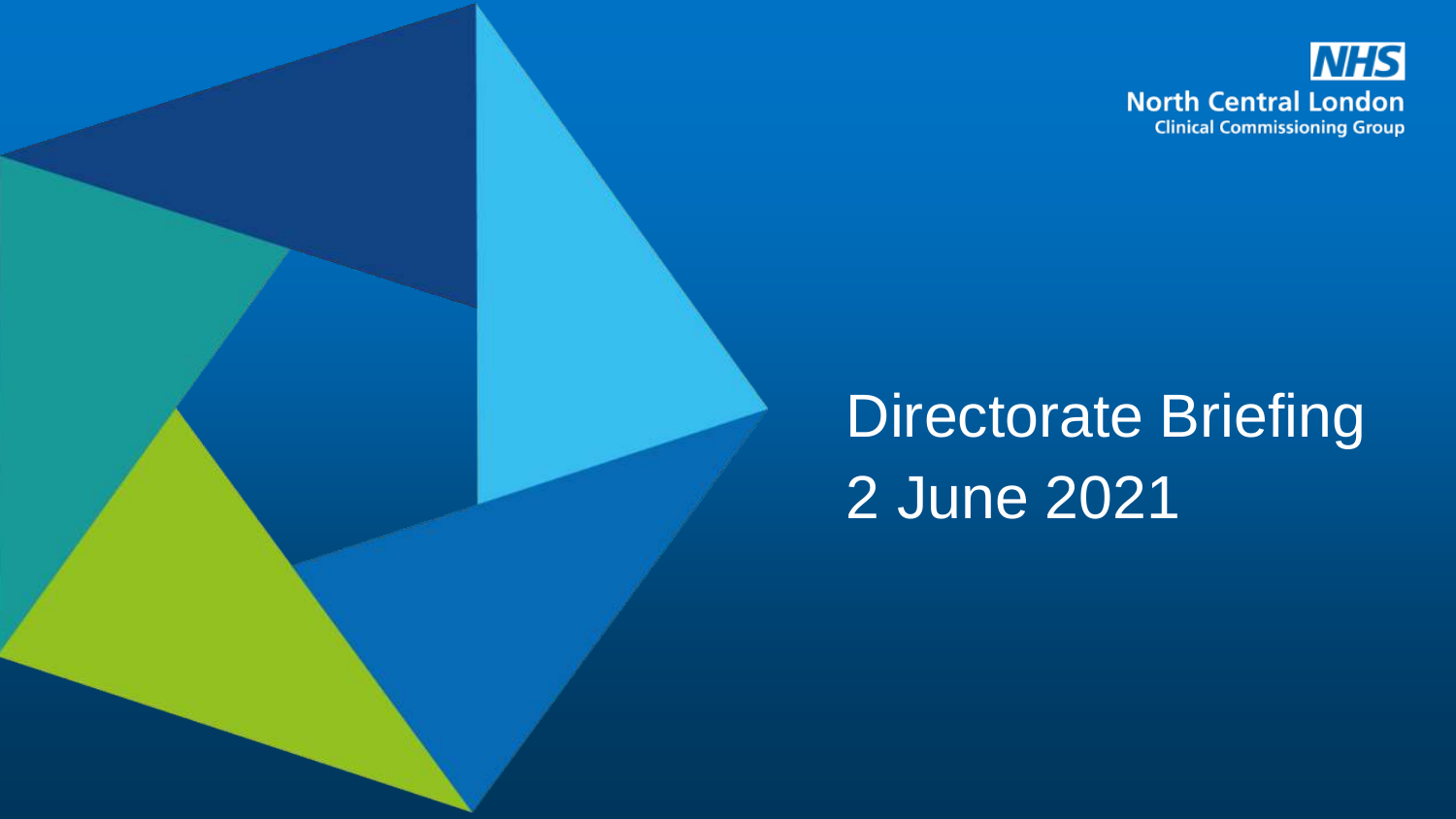

# Directorate Briefing 2 June 2021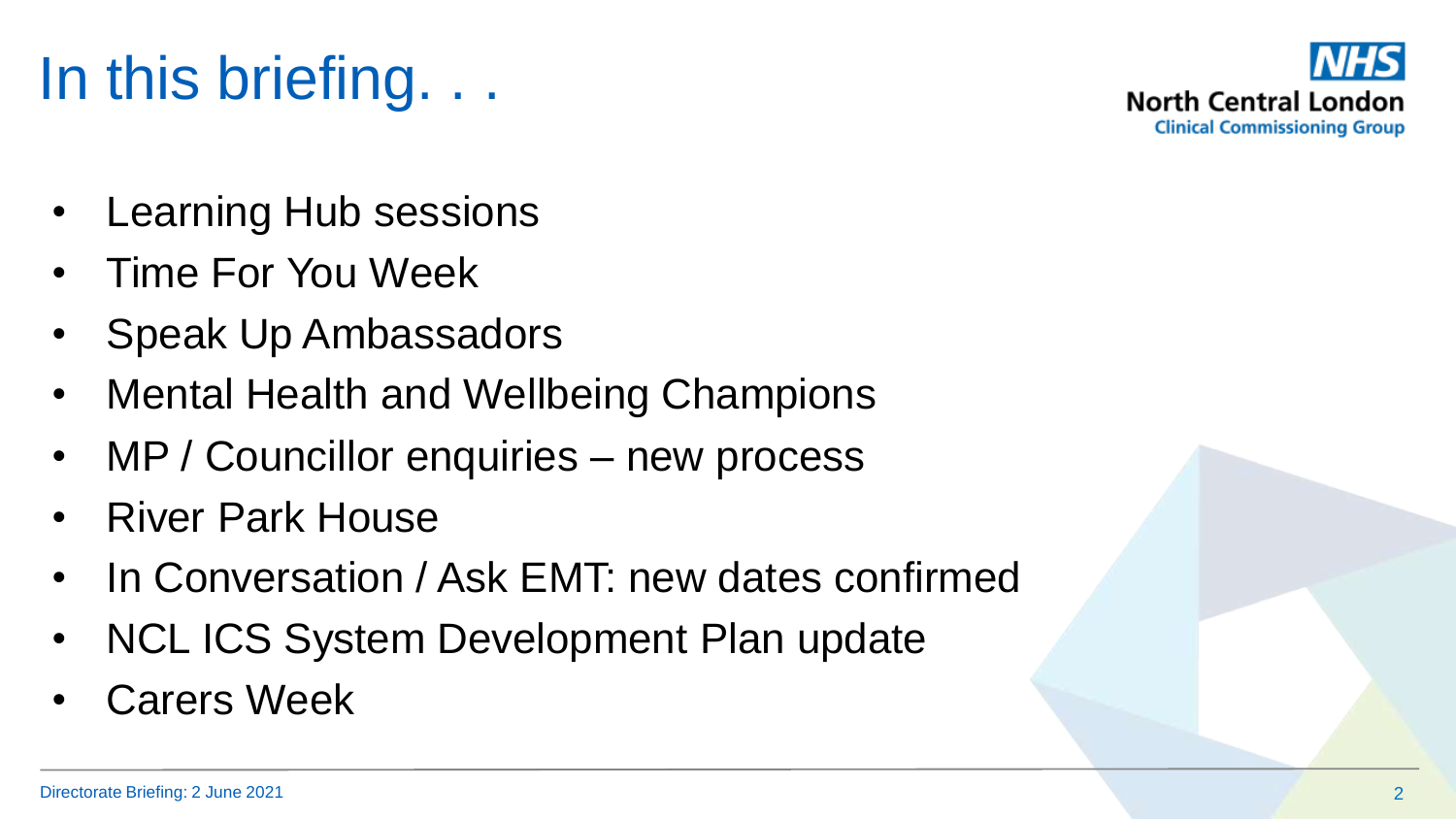# In this briefing. . .

- **Learning Hub sessions**
- Time For You Week
- Speak Up Ambassadors
- Mental Health and Wellbeing Champions
- MP / Councillor enquiries new process
- River Park House
- In Conversation / Ask EMT: new dates confirmed
- NCL ICS System Development Plan update
- **Carers Week**

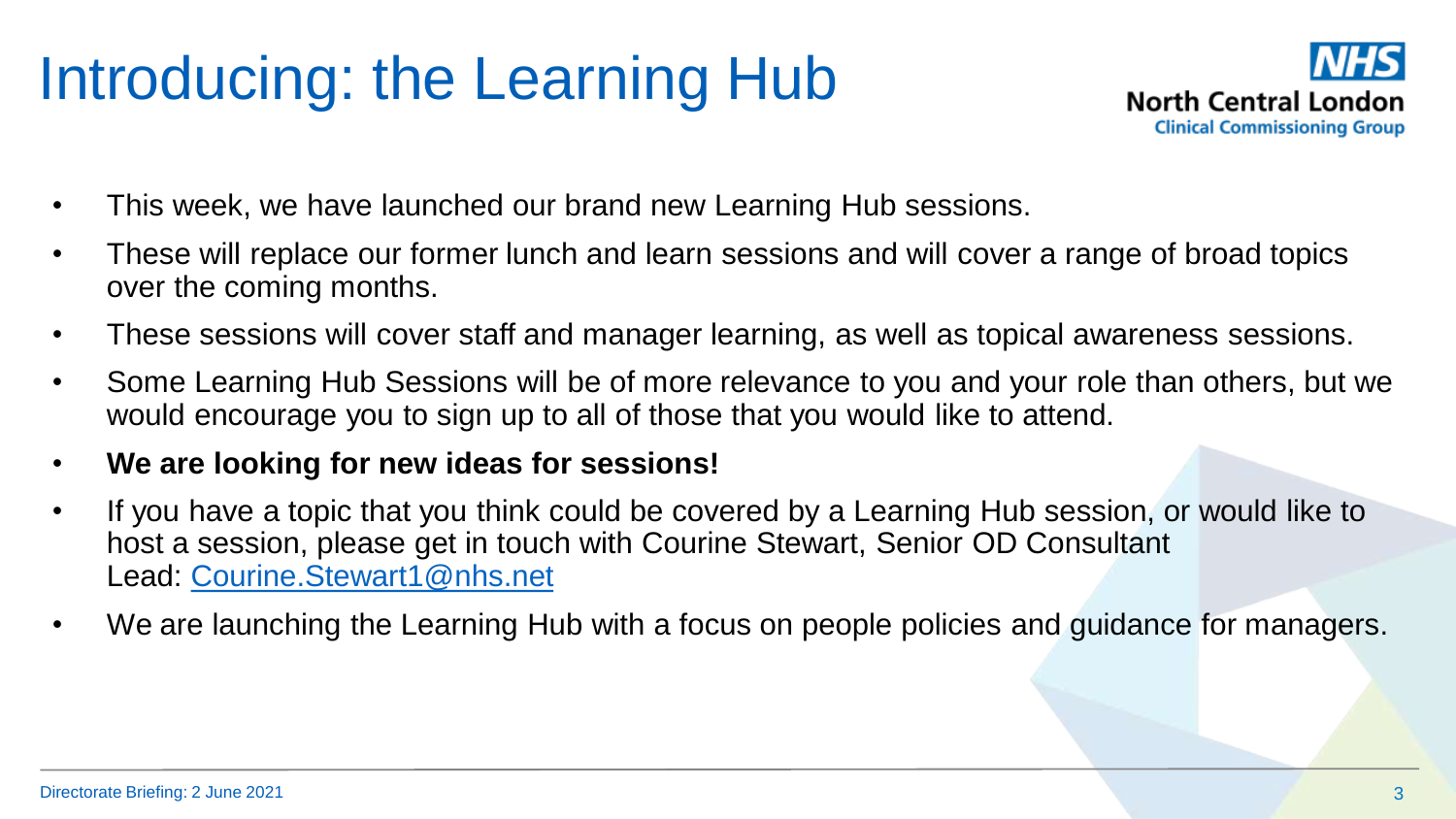# Introducing: the Learning Hub



- This week, we have launched our brand new Learning Hub sessions.
- These will replace our former lunch and learn sessions and will cover a range of broad topics over the coming months.
- These sessions will cover staff and manager learning, as well as topical awareness sessions.
- Some Learning Hub Sessions will be of more relevance to you and your role than others, but we would encourage you to sign up to all of those that you would like to attend.
- **We are looking for new ideas for sessions!**
- If you have a topic that you think could be covered by a Learning Hub session, or would like to host a session, please get in touch with Courine Stewart, Senior OD Consultant Lead: [Courine.Stewart1@nhs.net](mailto:Courine.Stewart1@nhs.net)
- We are launching the Learning Hub with a focus on people policies and guidance for managers.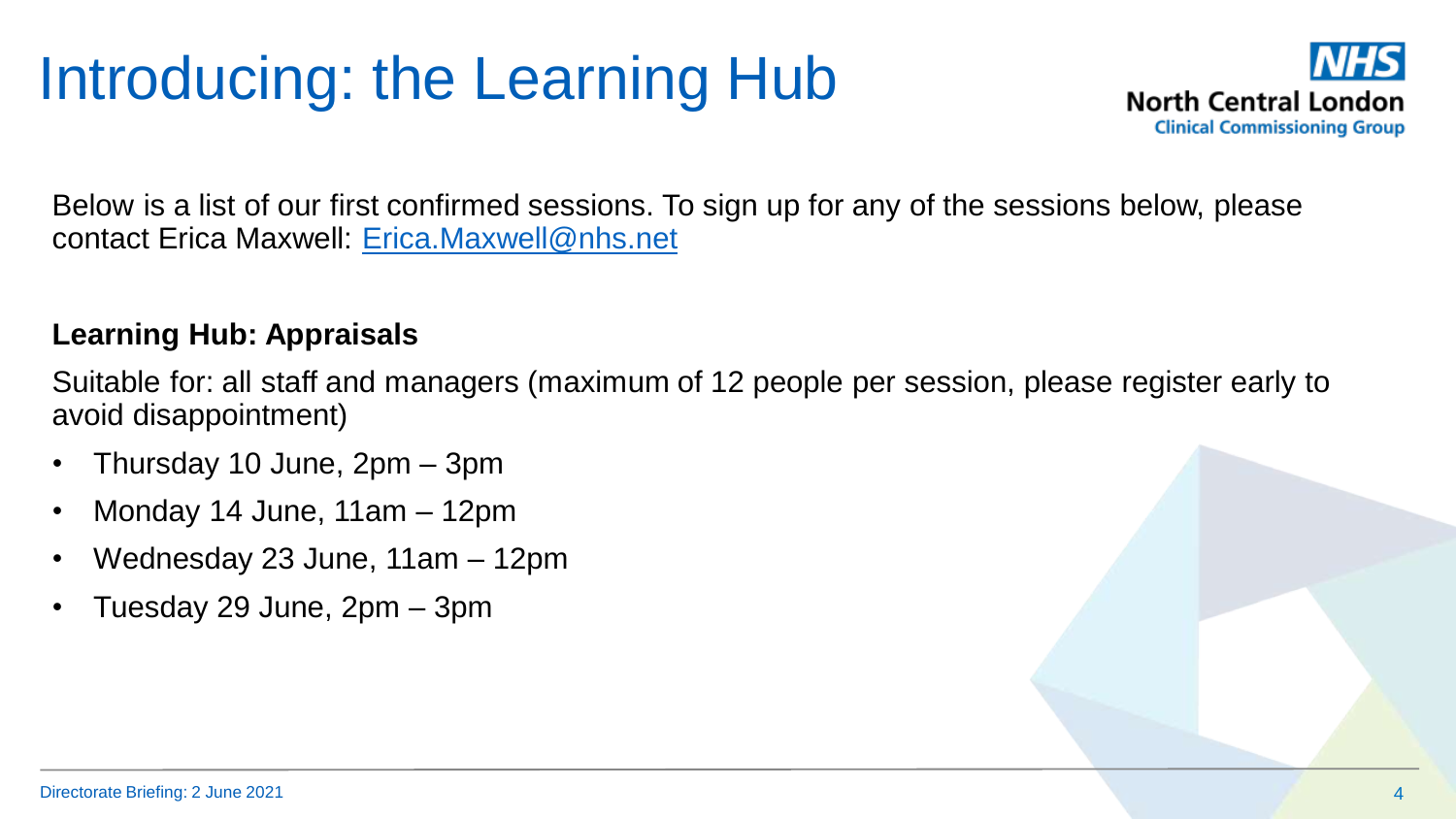# Introducing: the Learning Hub



Below is a list of our first confirmed sessions. To sign up for any of the sessions below, please contact Erica Maxwell: [Erica.Maxwell@nhs.net](mailto:Erica.Maxwell@nhs.net)

#### **Learning Hub: Appraisals**

Suitable for: all staff and managers (maximum of 12 people per session, please register early to avoid disappointment)

- Thursday 10 June, 2pm 3pm
- Monday 14 June, 11am 12pm
- Wednesday 23 June, 11am 12pm
- Tuesday 29 June, 2pm 3pm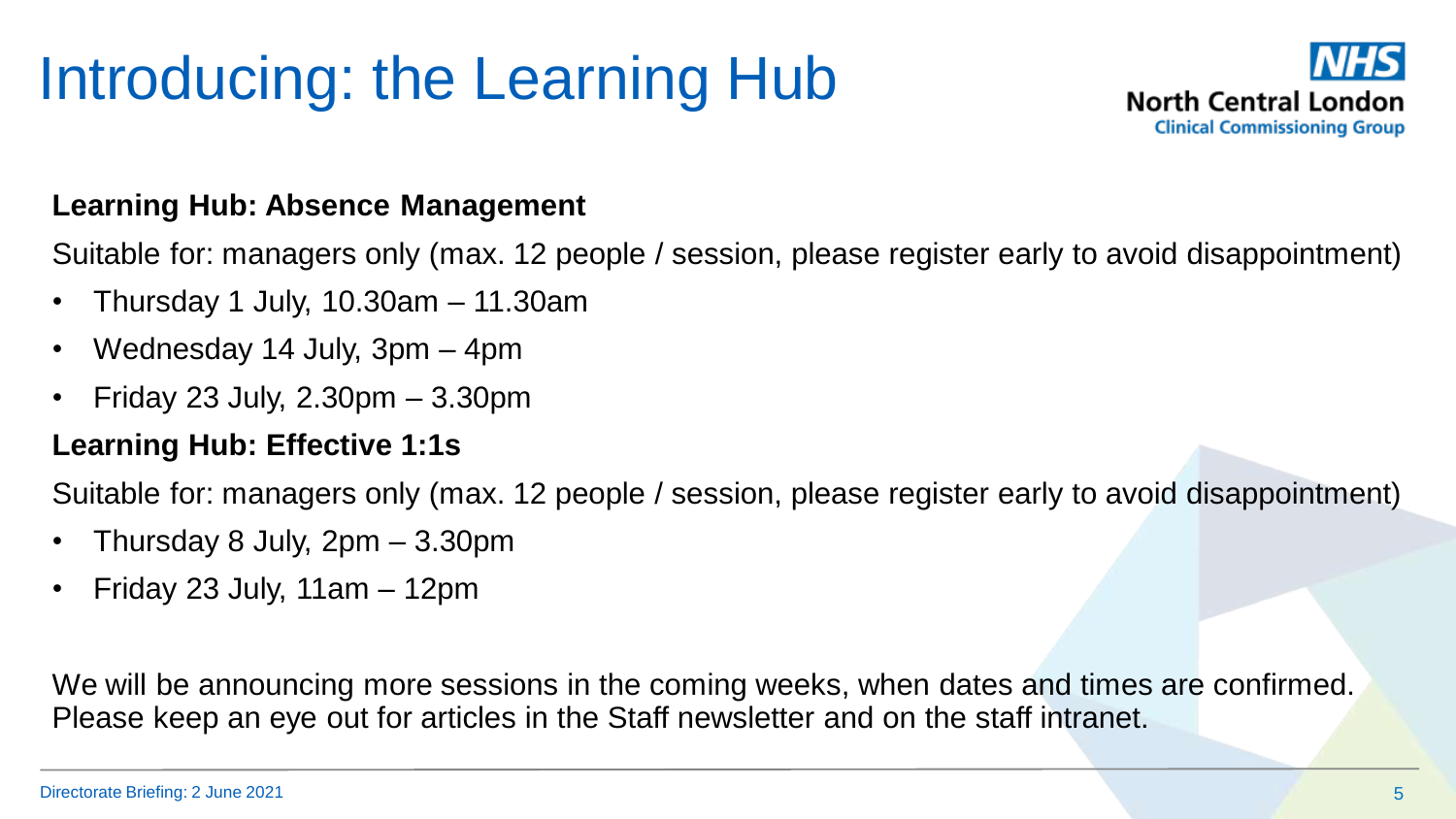# Introducing: the Learning Hub



#### **Learning Hub: Absence Management**

Suitable for: managers only (max. 12 people / session, please register early to avoid disappointment)

- Thursday 1 July, 10.30am 11.30am
- Wednesday 14 July, 3pm 4pm
- Friday 23 July, 2.30pm 3.30pm

#### **Learning Hub: Effective 1:1s**

Suitable for: managers only (max. 12 people / session, please register early to avoid disappointment)

- Thursday 8 July, 2pm 3.30pm
- Friday 23 July, 11am 12pm

We will be announcing more sessions in the coming weeks, when dates and times are confirmed. Please keep an eye out for articles in the Staff newsletter and on the staff intranet.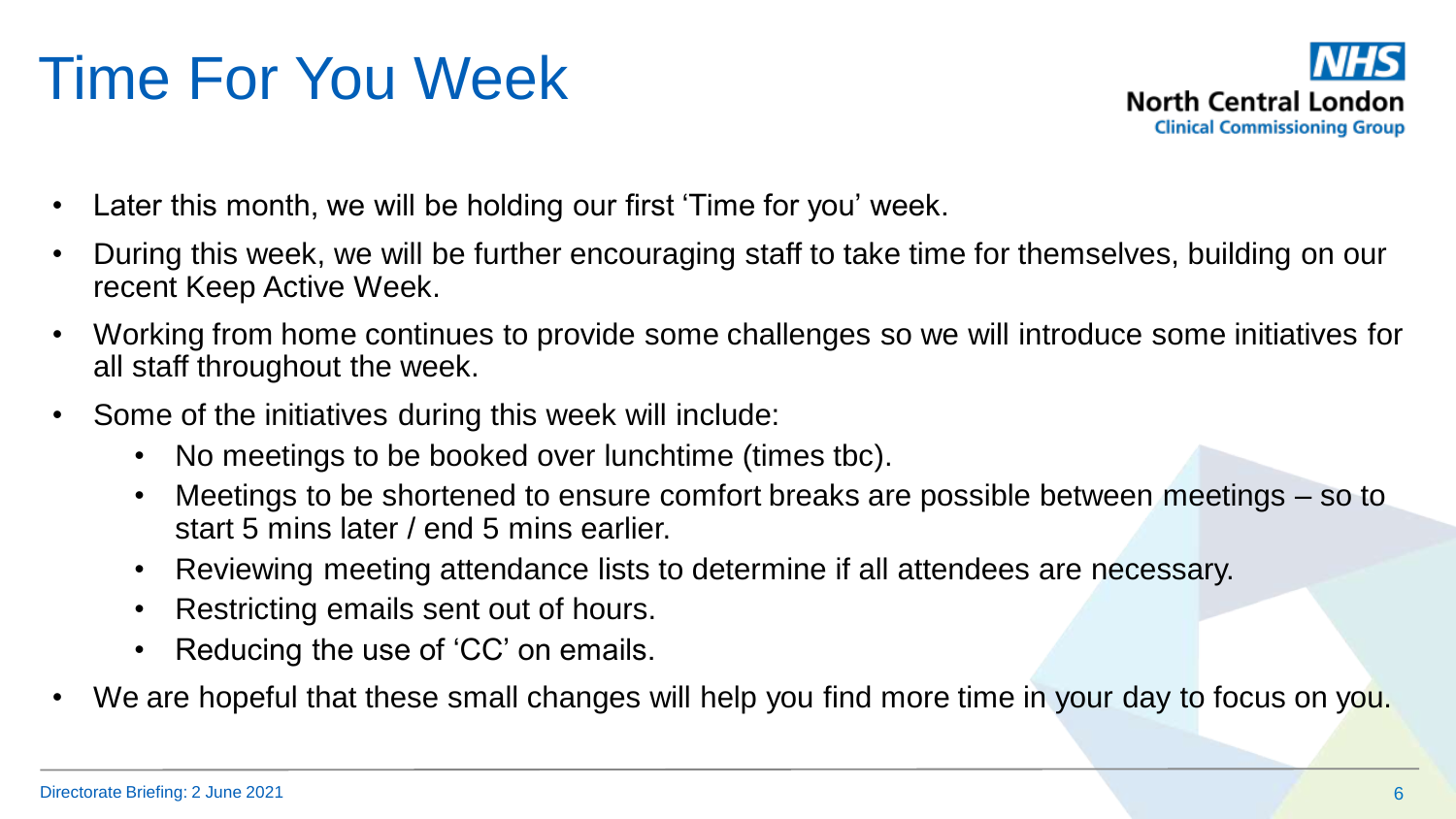# Time For You Week



- Later this month, we will be holding our first 'Time for you' week.
- During this week, we will be further encouraging staff to take time for themselves, building on our recent Keep Active Week.
- Working from home continues to provide some challenges so we will introduce some initiatives for all staff throughout the week.
- Some of the initiatives during this week will include:
	- No meetings to be booked over lunchtime (times tbc).
	- Meetings to be shortened to ensure comfort breaks are possible between meetings so to start 5 mins later / end 5 mins earlier.
	- Reviewing meeting attendance lists to determine if all attendees are necessary.
	- Restricting emails sent out of hours.
	- Reducing the use of 'CC' on emails.
- We are hopeful that these small changes will help you find more time in your day to focus on you.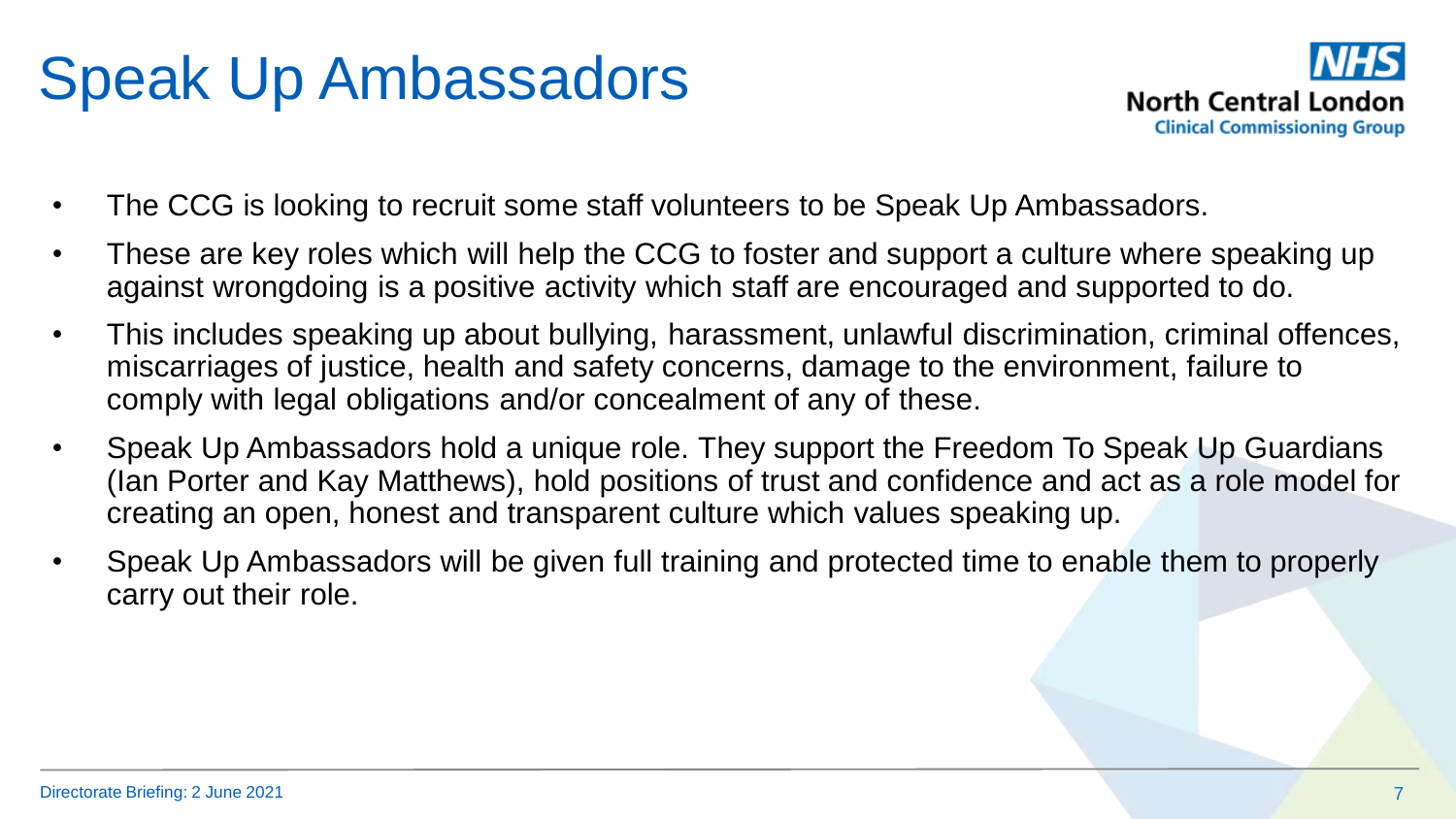## Speak Up Ambassadors



- The CCG is looking to recruit some staff volunteers to be Speak Up Ambassadors.
- These are key roles which will help the CCG to foster and support a culture where speaking up against wrongdoing is a positive activity which staff are encouraged and supported to do.
- This includes speaking up about bullying, harassment, unlawful discrimination, criminal offences, miscarriages of justice, health and safety concerns, damage to the environment, failure to comply with legal obligations and/or concealment of any of these.
- Speak Up Ambassadors hold a unique role. They support the Freedom To Speak Up Guardians (Ian Porter and Kay Matthews), hold positions of trust and confidence and act as a role model for creating an open, honest and transparent culture which values speaking up.
- Speak Up Ambassadors will be given full training and protected time to enable them to properly carry out their role.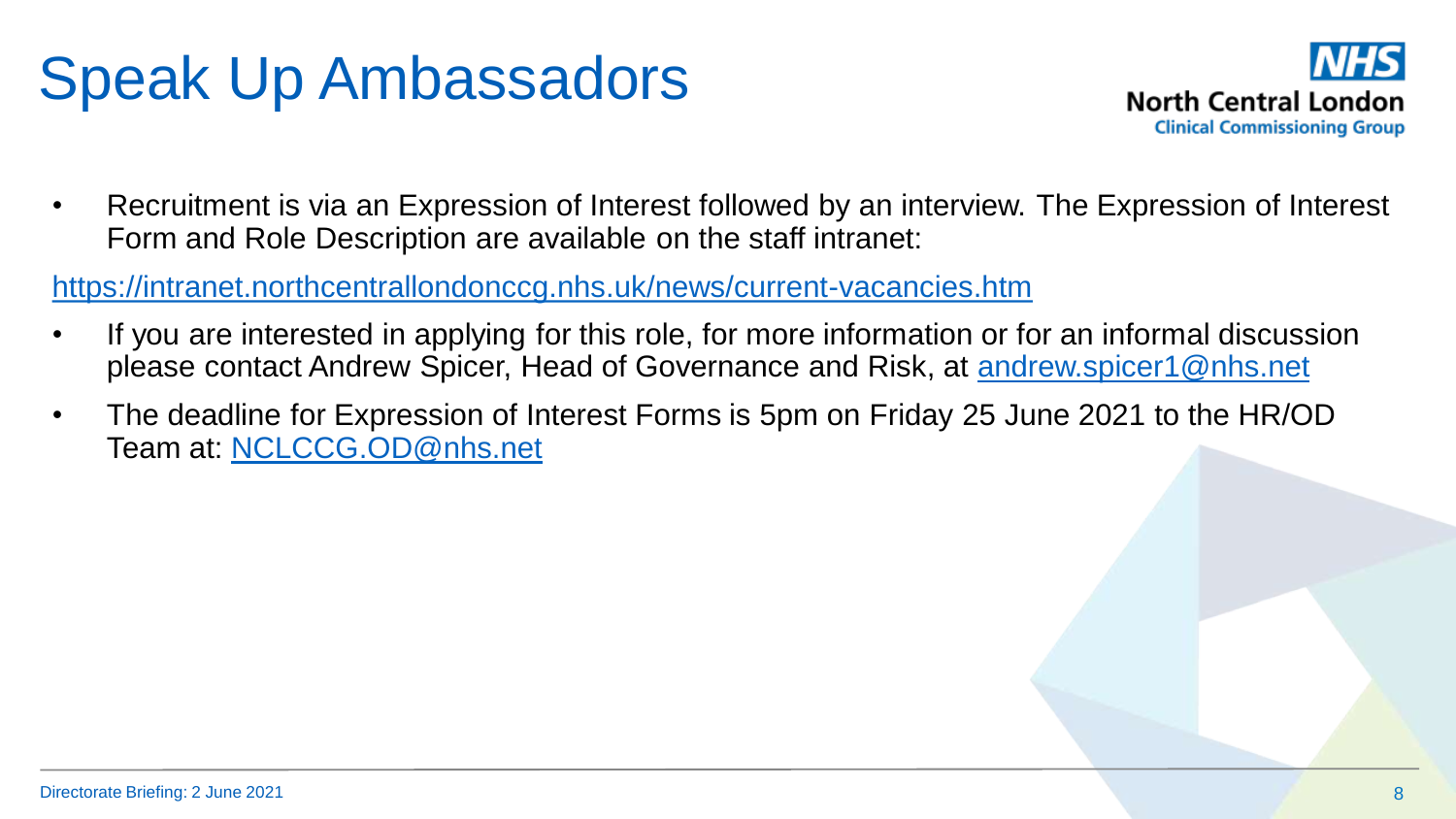# Speak Up Ambassadors



• Recruitment is via an Expression of Interest followed by an interview. The Expression of Interest Form and Role Description are available on the staff intranet:

<https://intranet.northcentrallondonccg.nhs.uk/news/current-vacancies.htm>

- If you are interested in applying for this role, for more information or for an informal discussion please contact Andrew Spicer, Head of Governance and Risk, at [andrew.spicer1@nhs.net](mailto:andrew.spicer1@nhs.net)
- The deadline for Expression of Interest Forms is 5pm on Friday 25 June 2021 to the HR/OD Team at: [NCLCCG.OD@nhs.net](mailto:NCLCCG.OD@nhs.net)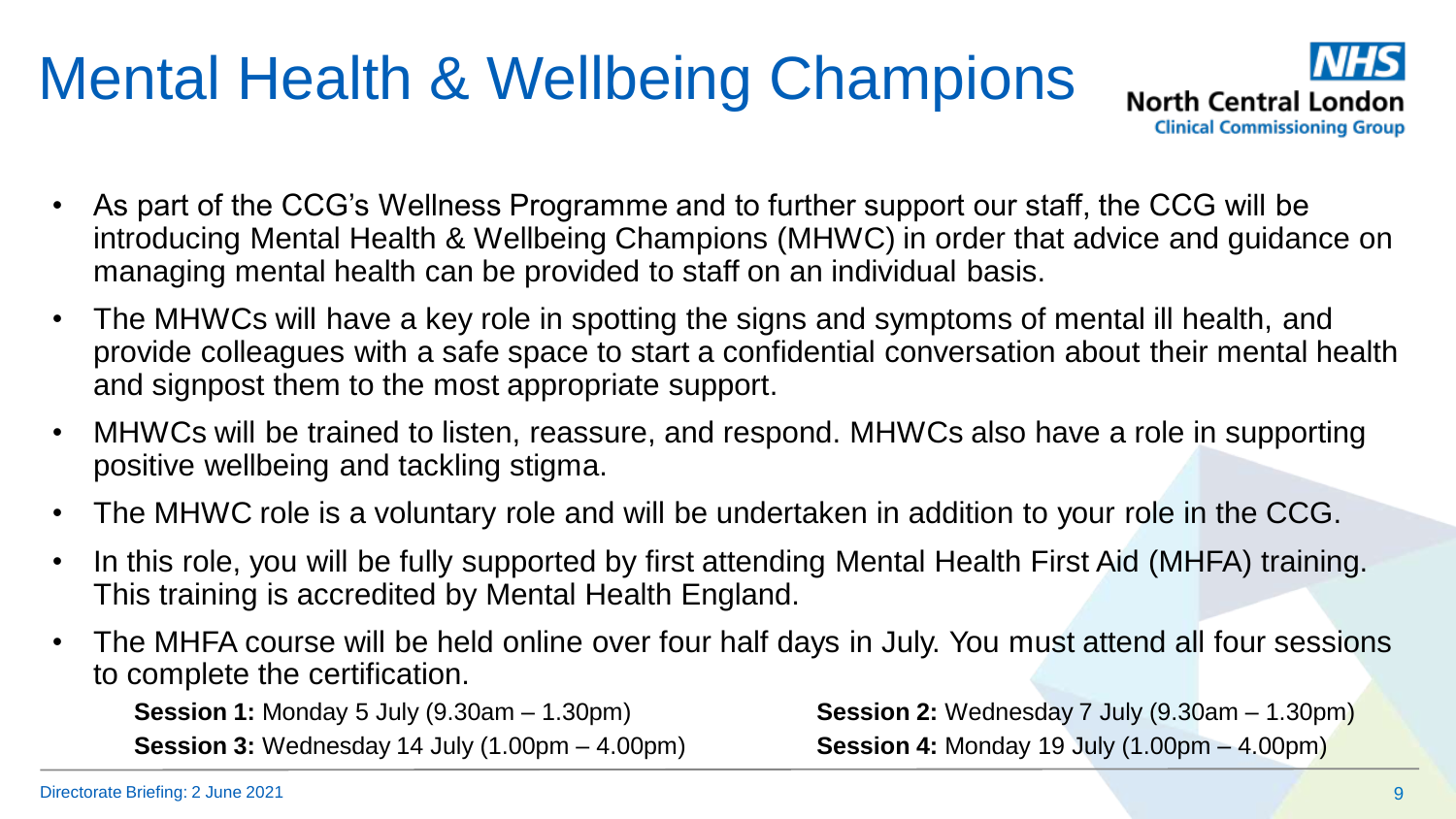# Mental Health & Wellbeing Champions



- As part of the CCG's Wellness Programme and to further support our staff, the CCG will be introducing Mental Health & Wellbeing Champions (MHWC) in order that advice and guidance on managing mental health can be provided to staff on an individual basis.
- The MHWCs will have a key role in spotting the signs and symptoms of mental ill health, and provide colleagues with a safe space to start a confidential conversation about their mental health and signpost them to the most appropriate support.
- MHWCs will be trained to listen, reassure, and respond. MHWCs also have a role in supporting positive wellbeing and tackling stigma.
- The MHWC role is a voluntary role and will be undertaken in addition to your role in the CCG.
- In this role, you will be fully supported by first attending Mental Health First Aid (MHFA) training. This training is accredited by Mental Health England.
- The MHFA course will be held online over four half days in July. You must attend all four sessions to complete the certification.

**Session 1:** Monday 5 July (9.30am – 1.30pm) **Session 2:** Wednesday 7 July (9.30am – 1.30pm) **Session 3:** Wednesday 14 July (1.00pm – 4.00pm) **Session 4:** Monday 19 July (1.00pm – 4.00pm)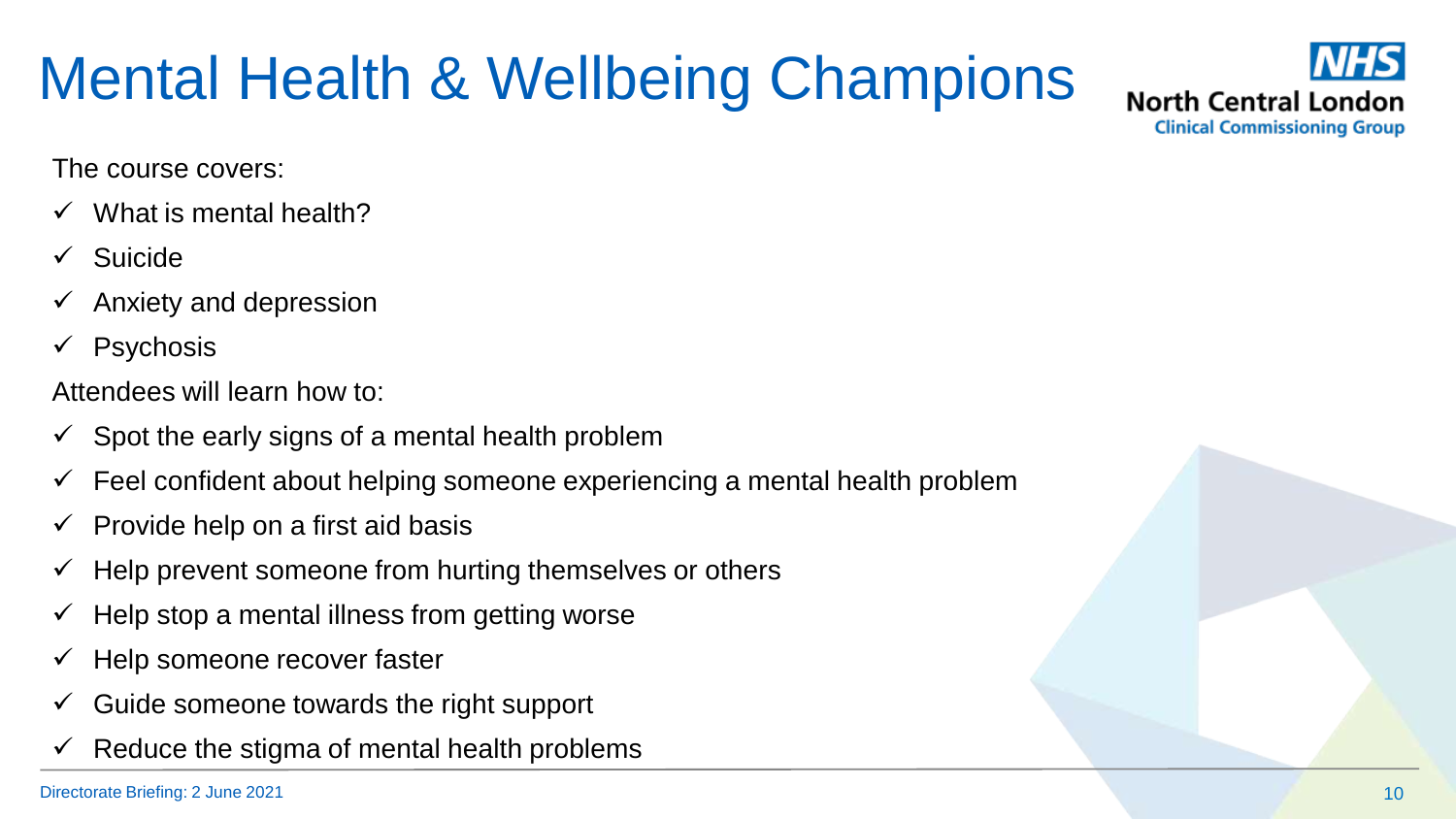# Mental Health & Wellbeing Champions



The course covers:

- What is mental health?
- $\checkmark$  Suicide
- $\checkmark$  Anxiety and depression
- $\checkmark$  Psychosis

Attendees will learn how to:

- $\checkmark$  Spot the early signs of a mental health problem
- $\checkmark$  Feel confident about helping someone experiencing a mental health problem
- $\checkmark$  Provide help on a first aid basis
- $\checkmark$  Help prevent someone from hurting themselves or others
- $\checkmark$  Help stop a mental illness from getting worse
- $\checkmark$  Help someone recover faster
- $\checkmark$  Guide someone towards the right support
- Reduce the stigma of mental health problems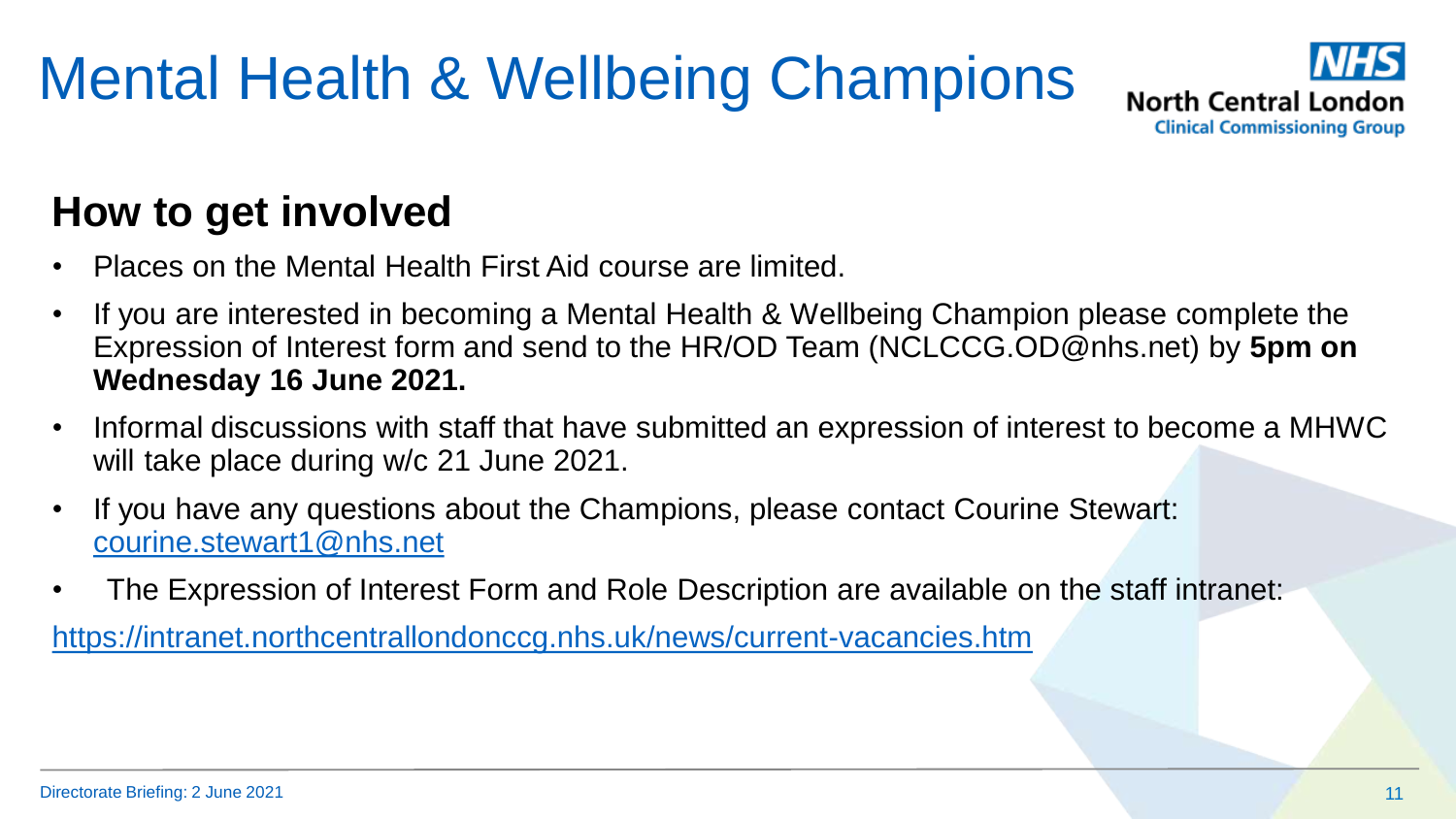# Mental Health & Wellbeing Champions



#### **How to get involved**

- Places on the Mental Health First Aid course are limited.
- If you are interested in becoming a Mental Health & Wellbeing Champion please complete the Expression of Interest form and send to the HR/OD Team (NCLCCG.OD@nhs.net) by **5pm on Wednesday 16 June 2021.**
- Informal discussions with staff that have submitted an expression of interest to become a MHWC will take place during w/c 21 June 2021.
- If you have any questions about the Champions, please contact Courine Stewart: [courine.stewart1@nhs.net](mailto:courine.stewart1@nhs.net)
- The Expression of Interest Form and Role Description are available on the staff intranet:

<https://intranet.northcentrallondonccg.nhs.uk/news/current-vacancies.htm>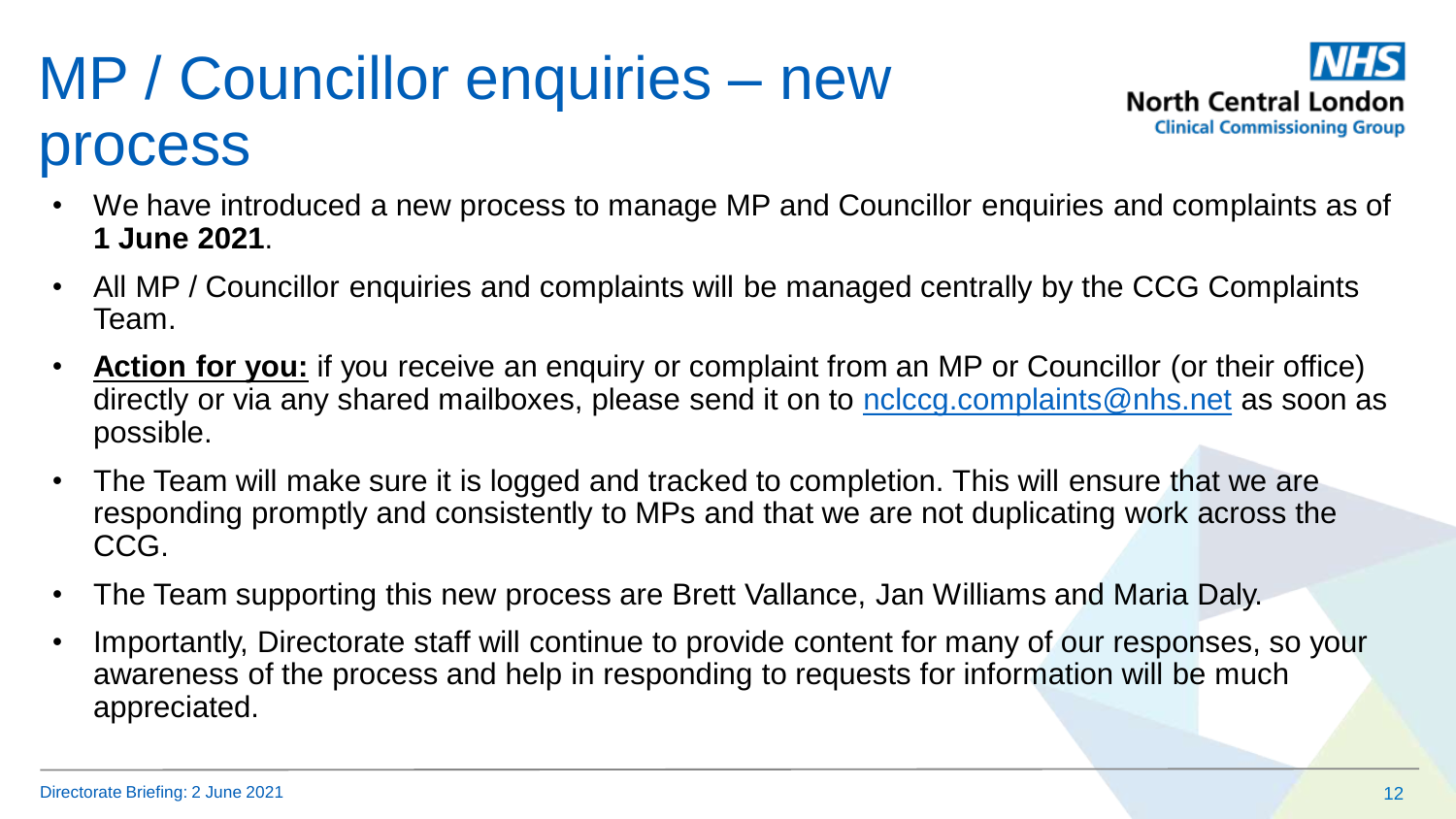# MP / Councillor enquiries – new process



- We have introduced a new process to manage MP and Councillor enquiries and complaints as of **1 June 2021**.
- All MP / Councillor enquiries and complaints will be managed centrally by the CCG Complaints Team.
- **Action for you:** if you receive an enquiry or complaint from an MP or Councillor (or their office) directly or via any shared mailboxes, please send it on to [nclccg.complaints@nhs.net](mailto:nclccg.complaints@nhs.net) as soon as possible.
- The Team will make sure it is logged and tracked to completion. This will ensure that we are responding promptly and consistently to MPs and that we are not duplicating work across the CCG.
- The Team supporting this new process are Brett Vallance, Jan Williams and Maria Daly.
- Importantly, Directorate staff will continue to provide content for many of our responses, so your awareness of the process and help in responding to requests for information will be much appreciated.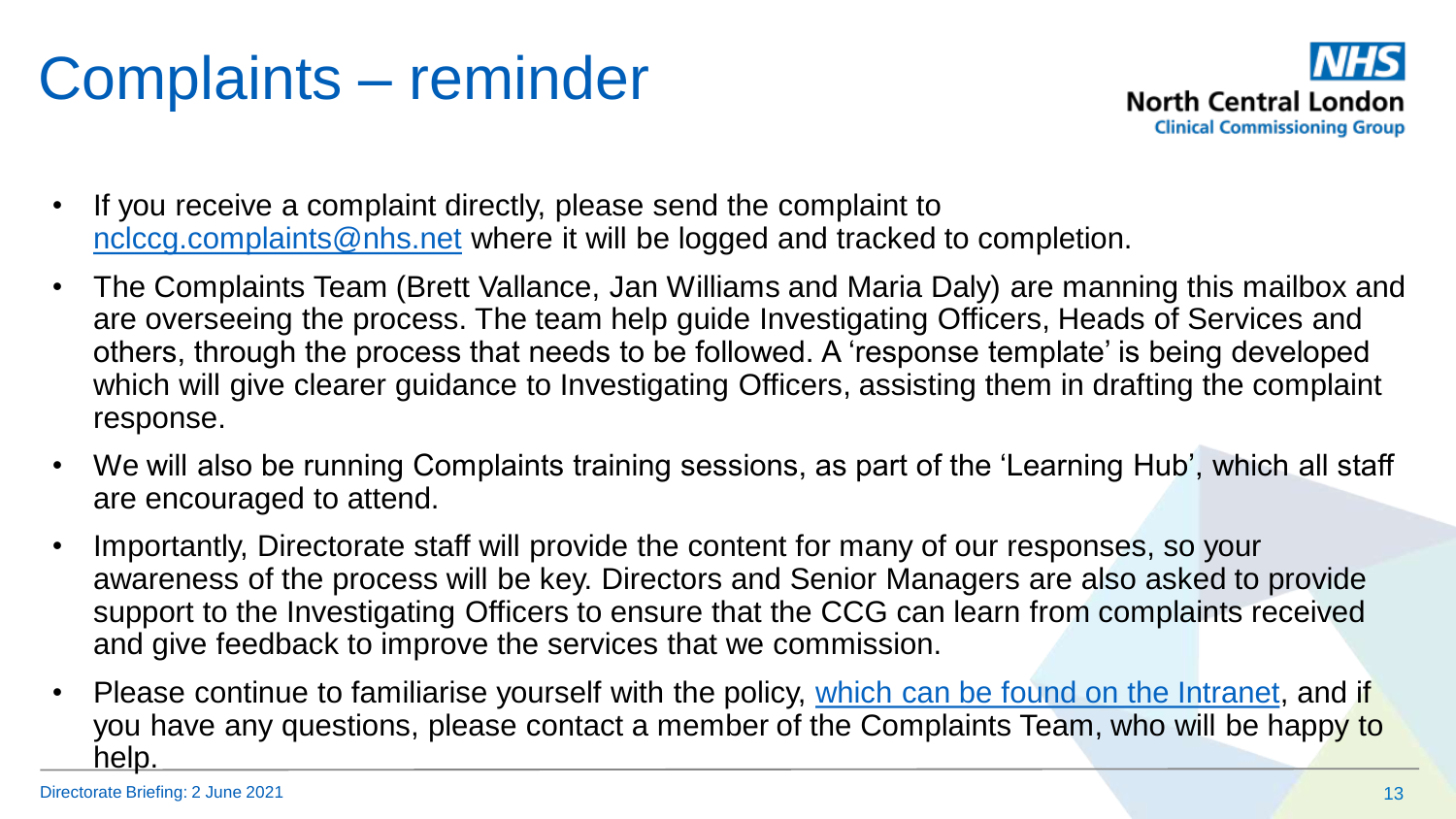# Complaints – reminder



- If you receive a complaint directly, please send the complaint to [nclccg.complaints@nhs.net](mailto:nclccg.complaints@nhs.net) where it will be logged and tracked to completion.
- The Complaints Team (Brett Vallance, Jan Williams and Maria Daly) are manning this mailbox and are overseeing the process. The team help guide Investigating Officers, Heads of Services and others, through the process that needs to be followed. A 'response template' is being developed which will give clearer guidance to Investigating Officers, assisting them in drafting the complaint response.
- We will also be running Complaints training sessions, as part of the 'Learning Hub', which all staff are encouraged to attend.
- Importantly, Directorate staff will provide the content for many of our responses, so your awareness of the process will be key. Directors and Senior Managers are also asked to provide support to the Investigating Officers to ensure that the CCG can learn from complaints received and give feedback to improve the services that we commission.
- Please continue to familiarise yourself with the policy, [which can be found on the Intranet](https://intranet.northcentrallondonccg.nhs.uk/policies/policies.htm), and if you have any questions, please contact a member of the Complaints Team, who will be happy to help.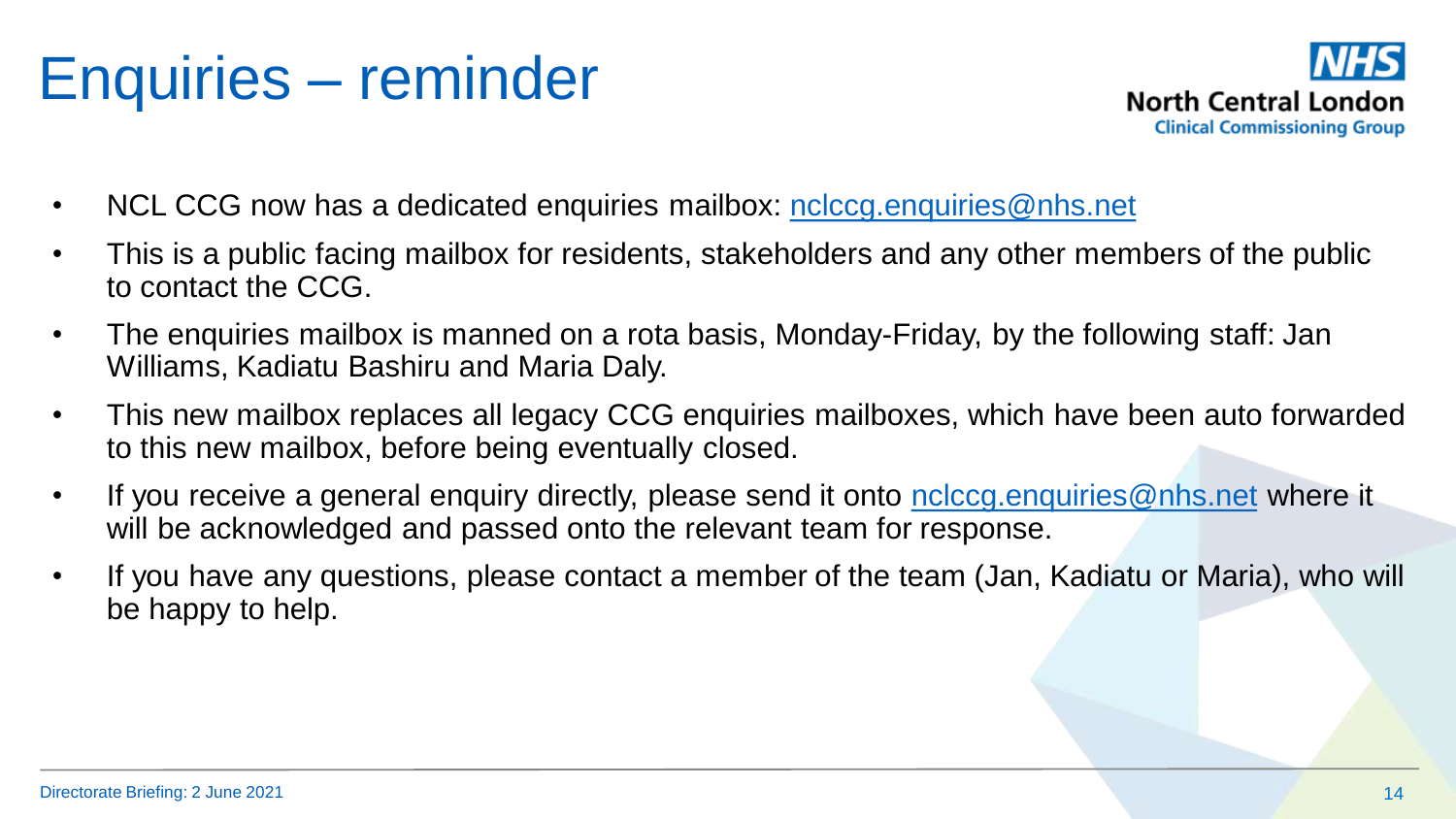## Enquiries – reminder



- NCL CCG now has a dedicated enquiries mailbox: [nclccg.enquiries@nhs.net](mailto:nclccg.enquiries@nhs.net)
- This is a public facing mailbox for residents, stakeholders and any other members of the public to contact the CCG.
- The enquiries mailbox is manned on a rota basis, Monday-Friday, by the following staff: Jan Williams, Kadiatu Bashiru and Maria Daly.
- This new mailbox replaces all legacy CCG enquiries mailboxes, which have been auto forwarded to this new mailbox, before being eventually closed.
- If you receive a general enquiry directly, please send it onto [nclccg.enquiries@nhs.net](mailto:nclccg.enquiries@nhs.net) where it will be acknowledged and passed onto the relevant team for response.
- If you have any questions, please contact a member of the team (Jan, Kadiatu or Maria), who will be happy to help.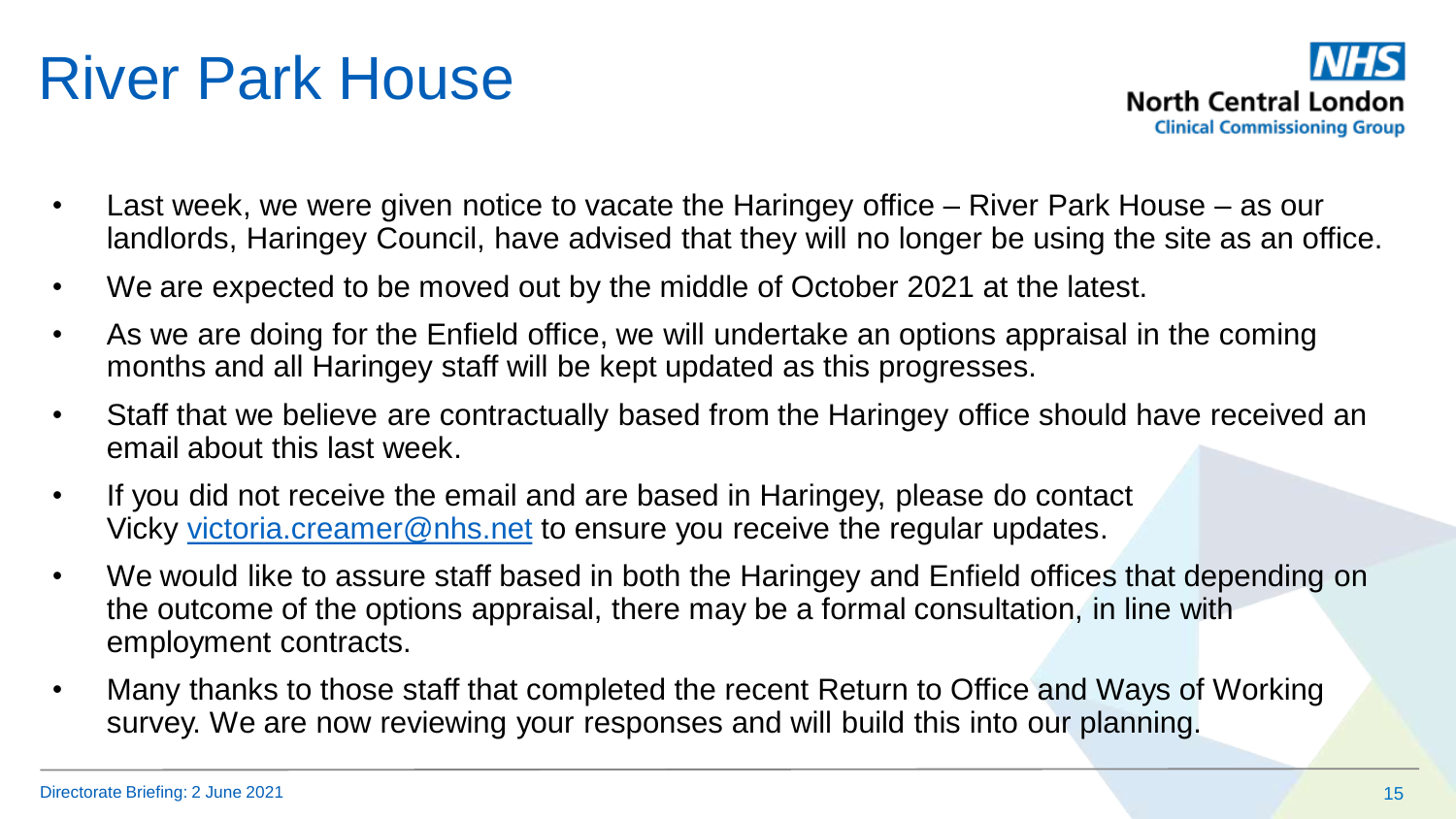### River Park House

- Last week, we were given notice to vacate the Haringey office River Park House as our landlords, Haringey Council, have advised that they will no longer be using the site as an office.
- We are expected to be moved out by the middle of October 2021 at the latest.
- As we are doing for the Enfield office, we will undertake an options appraisal in the coming months and all Haringey staff will be kept updated as this progresses.
- Staff that we believe are contractually based from the Haringey office should have received an email about this last week.
- If you did not receive the email and are based in Haringey, please do contact Vicky [victoria.creamer@nhs.net](mailto:victoria.creamer@nhs.net) to ensure you receive the regular updates.
- We would like to assure staff based in both the Haringey and Enfield offices that depending on the outcome of the options appraisal, there may be a formal consultation, in line with employment contracts.
- Many thanks to those staff that completed the recent Return to Office and Ways of Working survey. We are now reviewing your responses and will build this into our planning.

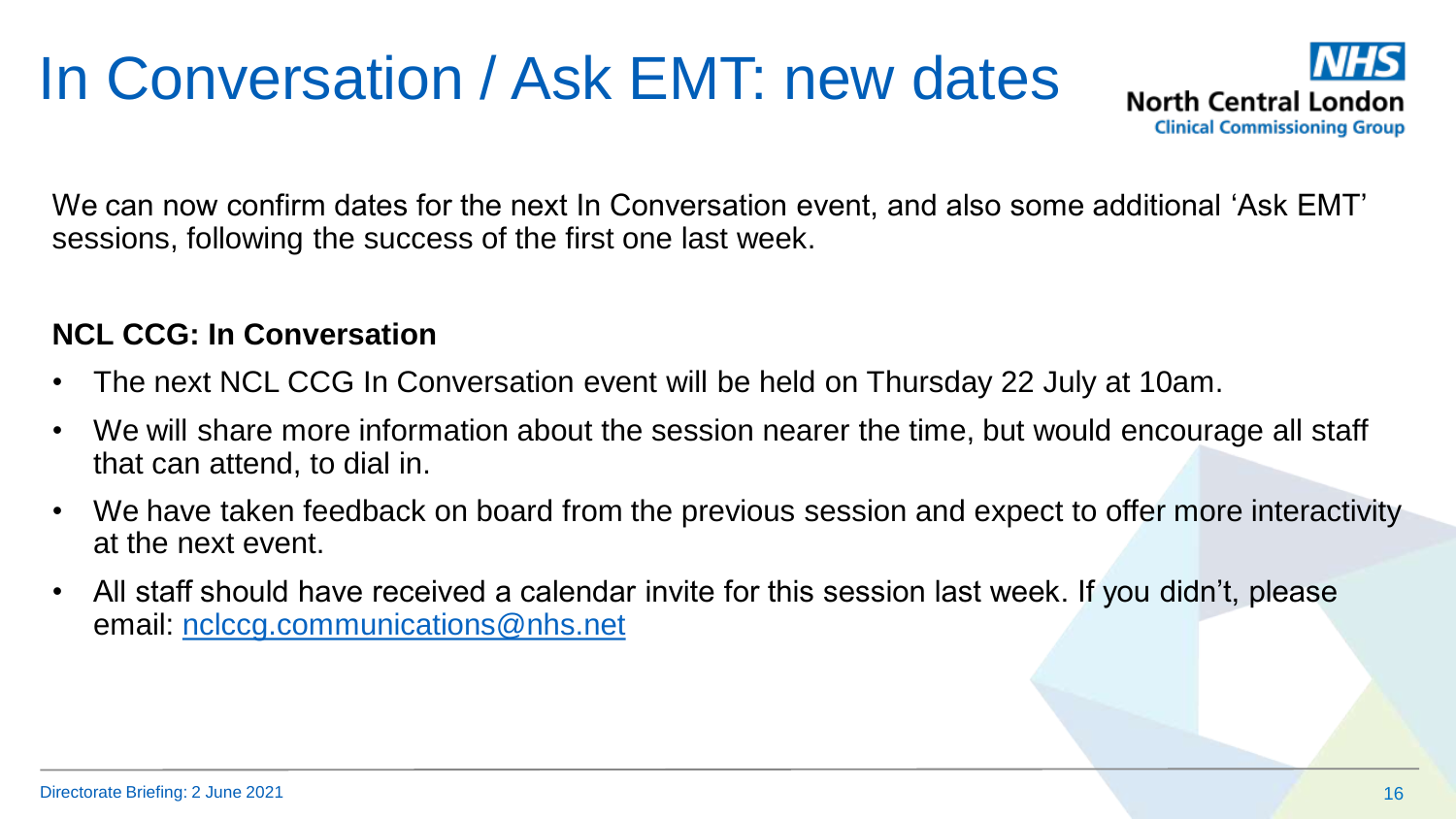# In Conversation / Ask EMT: new dates



We can now confirm dates for the next In Conversation event, and also some additional 'Ask EMT' sessions, following the success of the first one last week.

#### **NCL CCG: In Conversation**

- The next NCL CCG In Conversation event will be held on Thursday 22 July at 10am.
- We will share more information about the session nearer the time, but would encourage all staff that can attend, to dial in.
- We have taken feedback on board from the previous session and expect to offer more interactivity at the next event.
- All staff should have received a calendar invite for this session last week. If you didn't, please email: [nclccg.communications@nhs.net](mailto:nclccg.communications@nhs.net)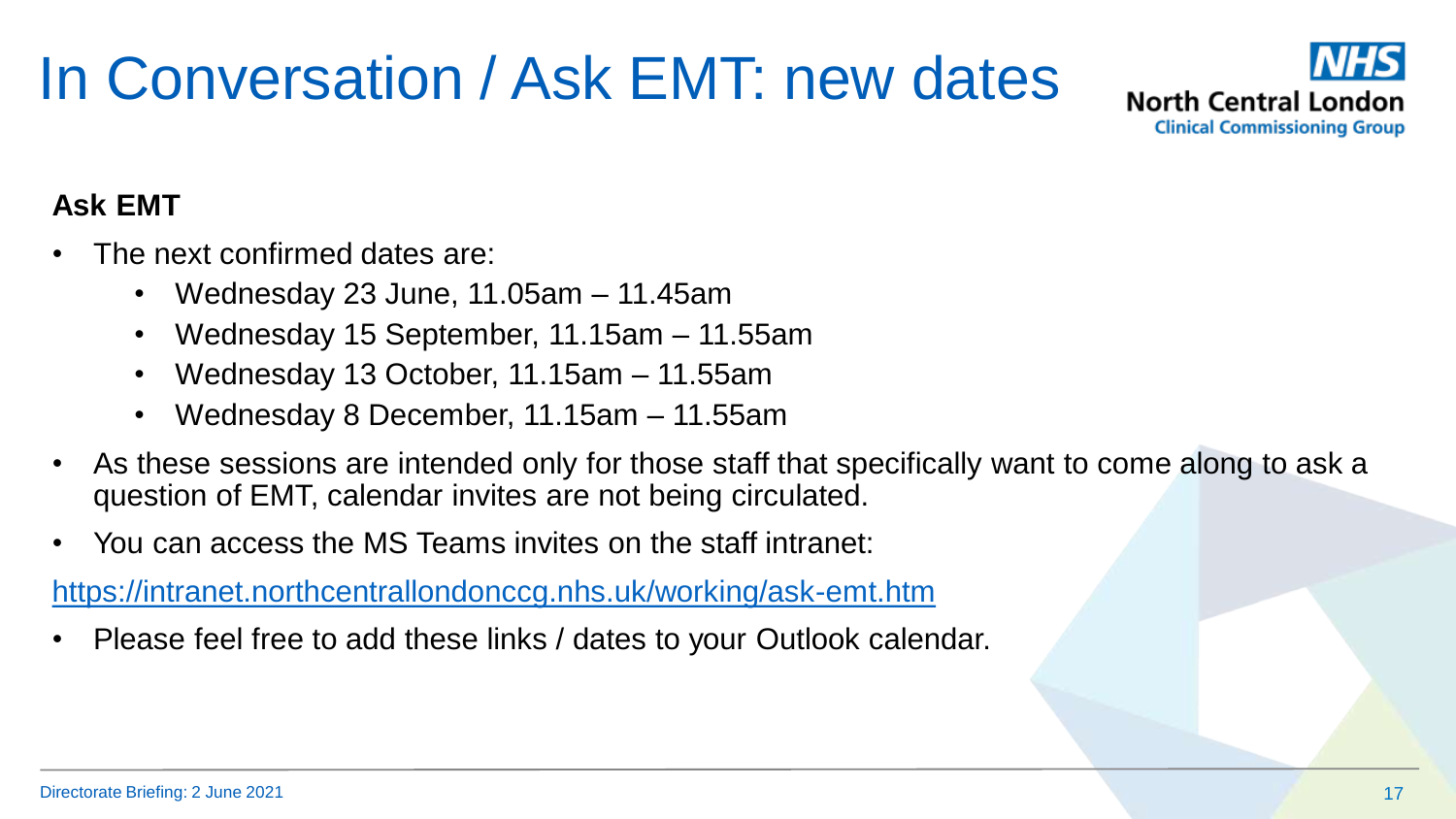# In Conversation / Ask EMT: new dates



#### **Ask EMT**

- The next confirmed dates are:
	- Wednesday 23 June, 11.05am 11.45am
	- Wednesday 15 September, 11.15am 11.55am
	- Wednesday 13 October, 11.15am 11.55am
	- Wednesday 8 December, 11.15am 11.55am
- As these sessions are intended only for those staff that specifically want to come along to ask a question of EMT, calendar invites are not being circulated.
- You can access the MS Teams invites on the staff intranet:

<https://intranet.northcentrallondonccg.nhs.uk/working/ask-emt.htm>

• Please feel free to add these links / dates to your Outlook calendar.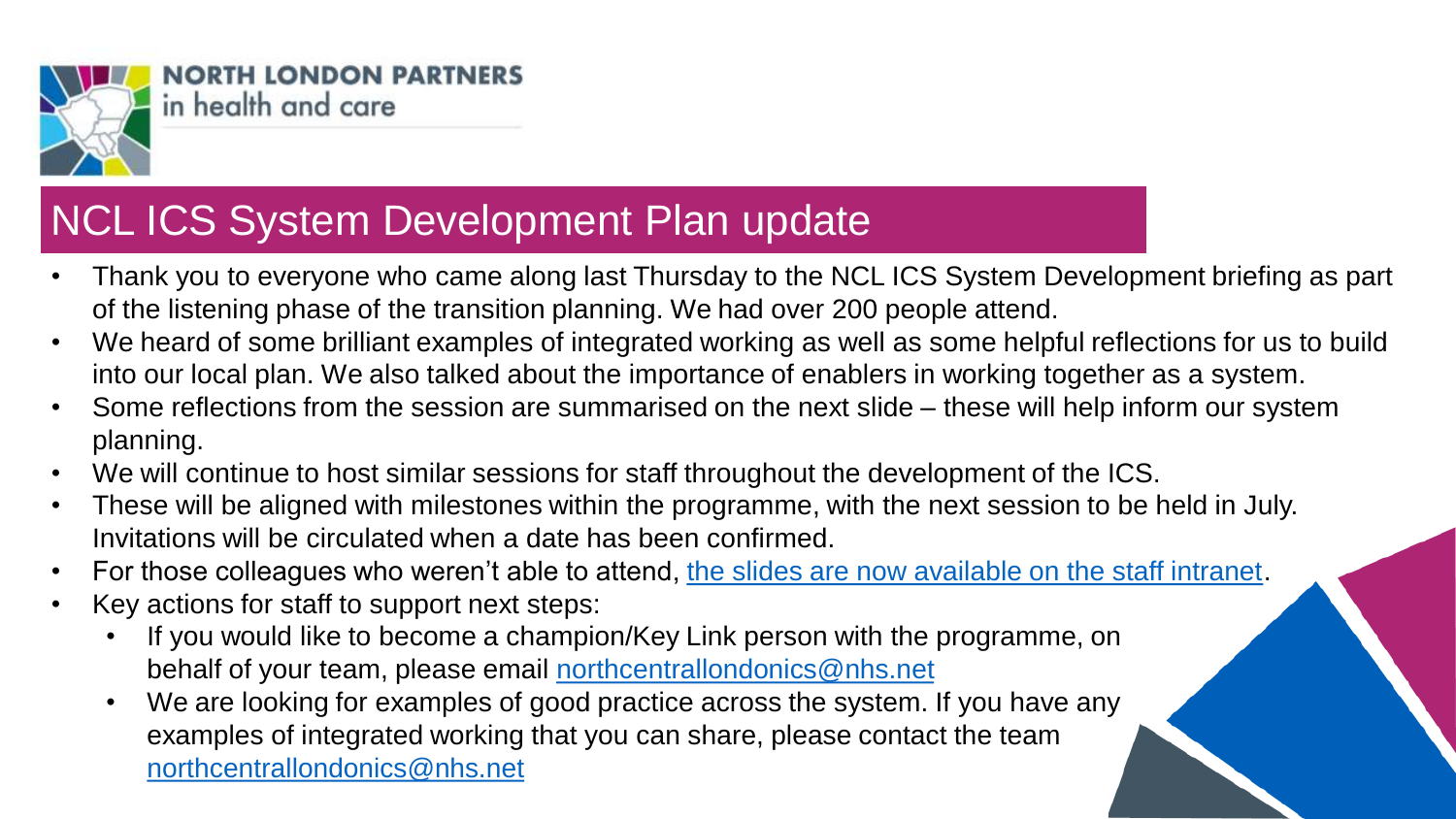

#### **NCL ICS System Development Plan update**

- Thank you to everyone who came along last Thursday to the NCL ICS System Development briefing as part of the listening phase of the transition planning. We had over 200 people attend.
- We heard of some brilliant examples of integrated working as well as some helpful reflections for us to build into our local plan. We also talked about the importance of enablers in working together as a system.
- Some reflections from the session are summarised on the next slide these will help inform our system planning.
- We will continue to host similar sessions for staff throughout the development of the ICS.
- These will be aligned with milestones within the programme, with the next session to be held in July. Invitations will be circulated when a date has been confirmed.
- For those colleagues who weren't able to attend, [the slides are now available on the staff intranet](https://intranet.northcentrallondonccg.nhs.uk/downloads/NCL%20ICS%20System%20Development%20Plan%20Briefing.pdf).
- Key actions for staff to support next steps:
	- If you would like to become a champion/Key Link person with the programme, on behalf of your team, please email [northcentrallondonics@nhs.net](mailto:northcentrallondonics@nhs.net)
	- We are looking for examples of good practice across the system. If you have any examples of integrated working that you can share, please contact the team [northcentrallondonics@nhs.net](mailto:northcentrallondonics@nhs.net)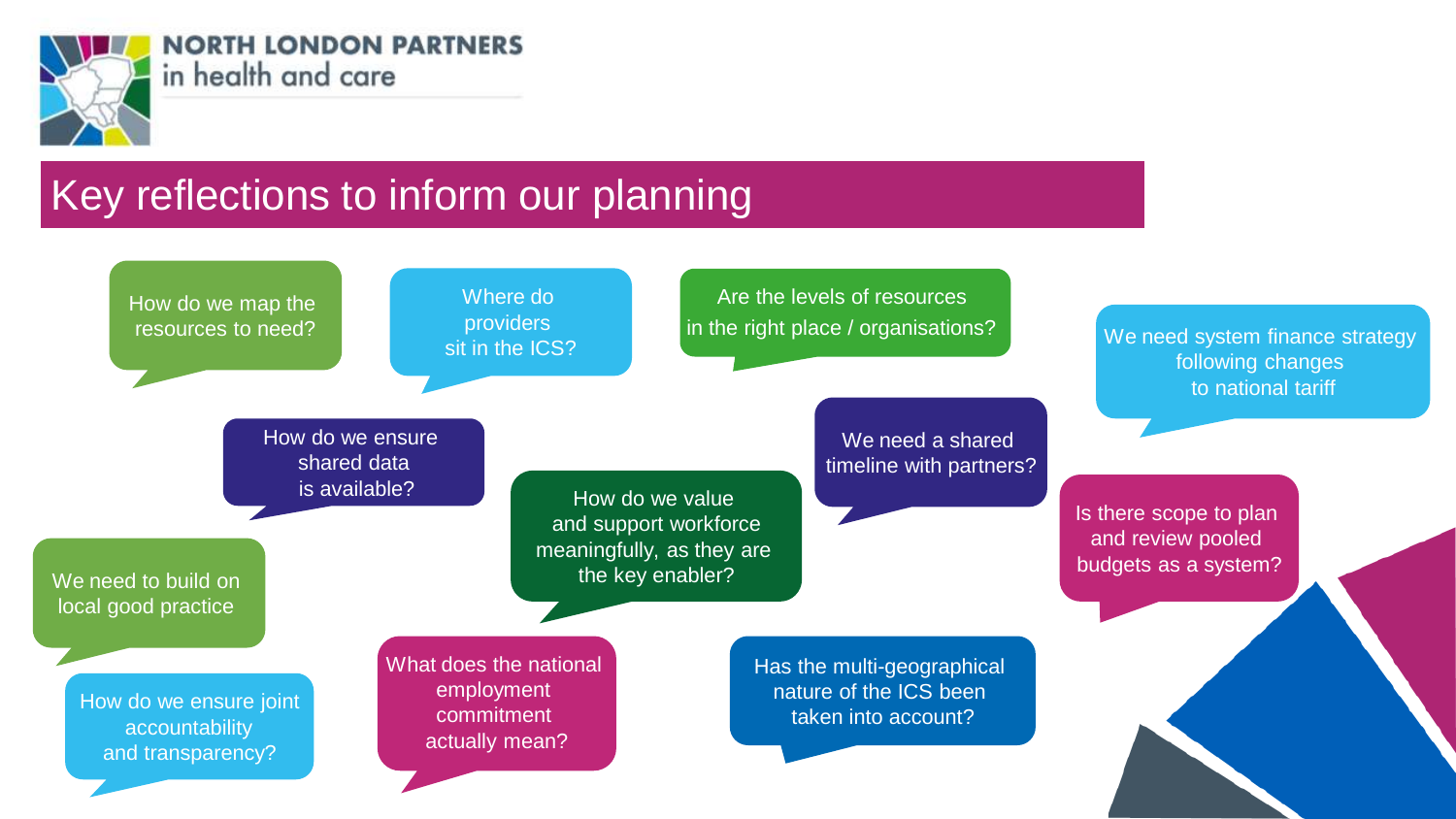

#### Key reflections to inform our planning

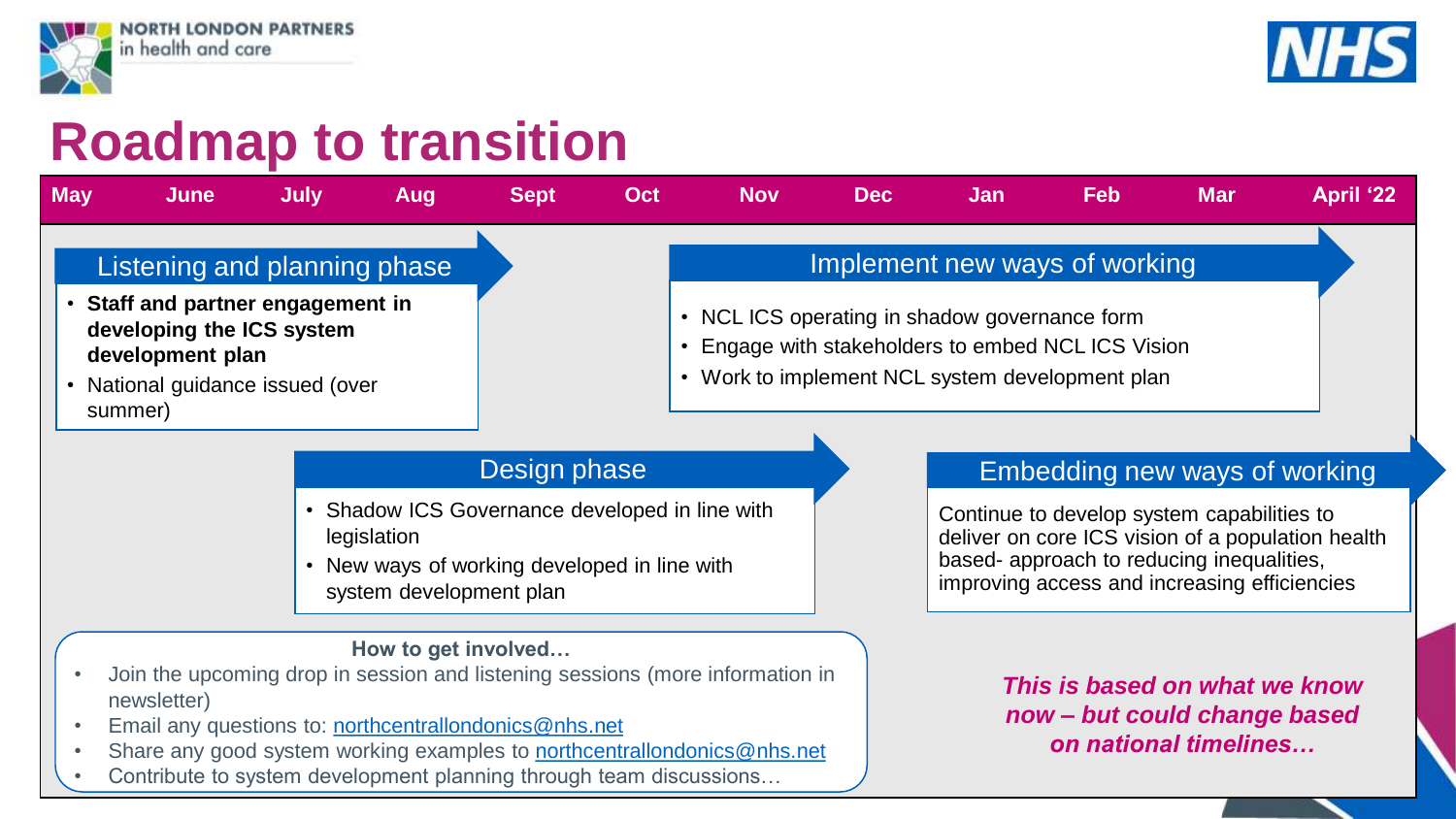



#### **Roadmap to transition**

| <b>May</b>                             | <b>June</b>                                                                                                                                                                                                                                                                                                   | <b>July</b> | Aug                 | <b>Sept</b>                                                                                  | Oct          | <b>Nov</b>                                                                                                                                           | <b>Dec</b> | Jan                                                                                                                                                                                          | <b>Feb</b> | <b>Mar</b>                                                                             | <b>April '22</b> |
|----------------------------------------|---------------------------------------------------------------------------------------------------------------------------------------------------------------------------------------------------------------------------------------------------------------------------------------------------------------|-------------|---------------------|----------------------------------------------------------------------------------------------|--------------|------------------------------------------------------------------------------------------------------------------------------------------------------|------------|----------------------------------------------------------------------------------------------------------------------------------------------------------------------------------------------|------------|----------------------------------------------------------------------------------------|------------------|
| Listening and planning phase           |                                                                                                                                                                                                                                                                                                               |             |                     |                                                                                              |              | Implement new ways of working                                                                                                                        |            |                                                                                                                                                                                              |            |                                                                                        |                  |
|                                        | Staff and partner engagement in<br>developing the ICS system<br>development plan<br>National guidance issued (over<br>summer)                                                                                                                                                                                 |             |                     |                                                                                              |              | • NCL ICS operating in shadow governance form<br>Engage with stakeholders to embed NCL ICS Vision<br>• Work to implement NCL system development plan |            |                                                                                                                                                                                              |            |                                                                                        |                  |
|                                        |                                                                                                                                                                                                                                                                                                               |             |                     |                                                                                              | Design phase |                                                                                                                                                      |            | Embedding new ways of working                                                                                                                                                                |            |                                                                                        |                  |
| legislation<br>system development plan |                                                                                                                                                                                                                                                                                                               |             |                     | Shadow ICS Governance developed in line with<br>• New ways of working developed in line with |              |                                                                                                                                                      |            | Continue to develop system capabilities to<br>deliver on core ICS vision of a population health<br>based- approach to reducing inequalities,<br>improving access and increasing efficiencies |            |                                                                                        |                  |
|                                        | Join the upcoming drop in session and listening sessions (more information in<br>newsletter)<br>Email any questions to: northcentrallondonics@nhs.net<br>Share any good system working examples to <b>northcentrallondonics@nhs.net</b><br>Contribute to system development planning through team discussions |             | How to get involved |                                                                                              |              |                                                                                                                                                      |            |                                                                                                                                                                                              |            | This is based on what we know<br>now - but could change based<br>on national timelines |                  |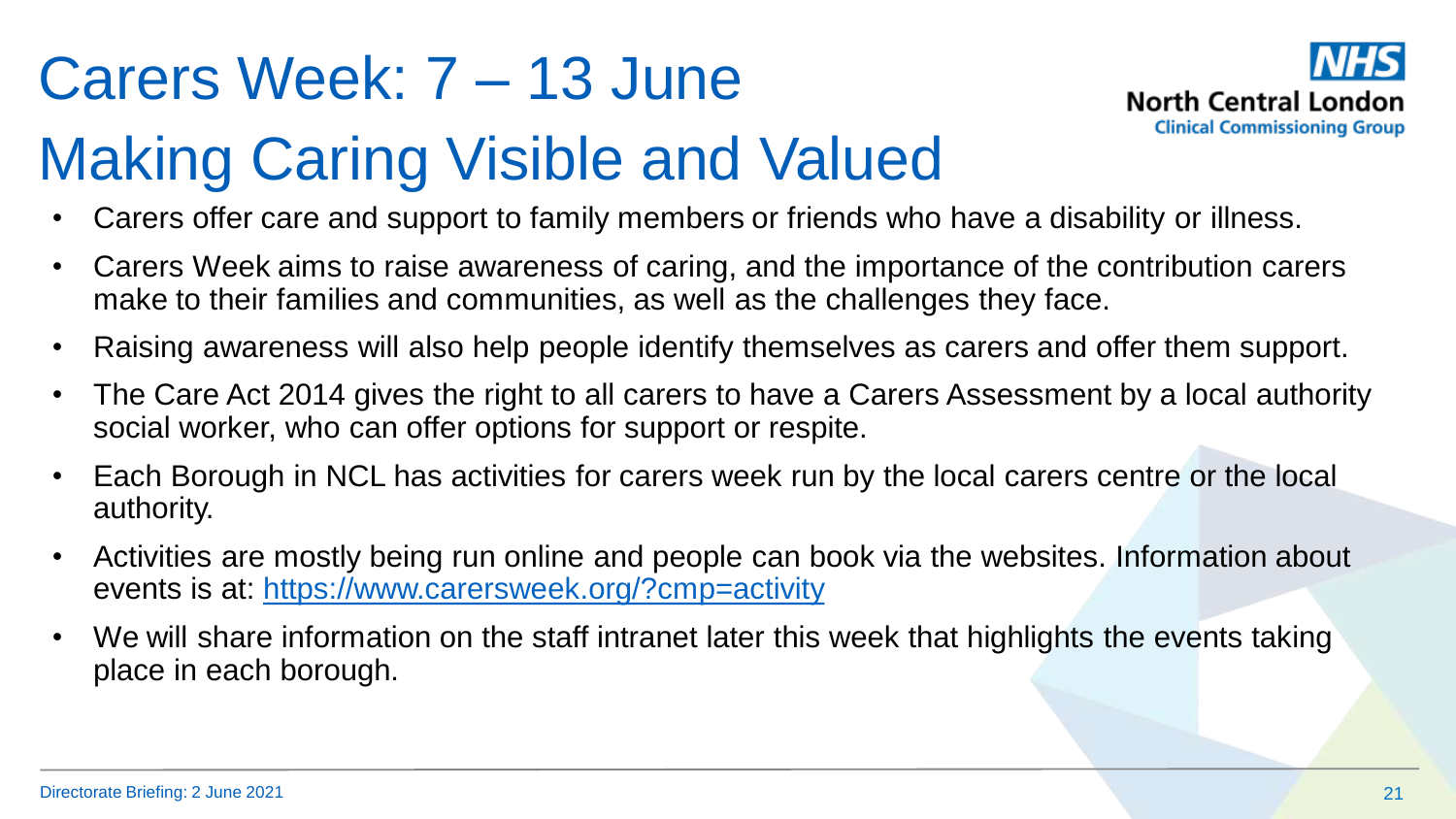# Carers Week: 7 – 13 June



# Making Caring Visible and Valued

- Carers offer care and support to family members or friends who have a disability or illness.
- Carers Week aims to raise awareness of caring, and the importance of the contribution carers make to their families and communities, as well as the challenges they face.
- Raising awareness will also help people identify themselves as carers and offer them support.
- The Care Act 2014 gives the right to all carers to have a Carers Assessment by a local authority social worker, who can offer options for support or respite.
- Each Borough in NCL has activities for carers week run by the local carers centre or the local authority.
- Activities are mostly being run online and people can book via the websites. Information about events is at: <https://www.carersweek.org/?cmp=activity>
- We will share information on the staff intranet later this week that highlights the events taking place in each borough.